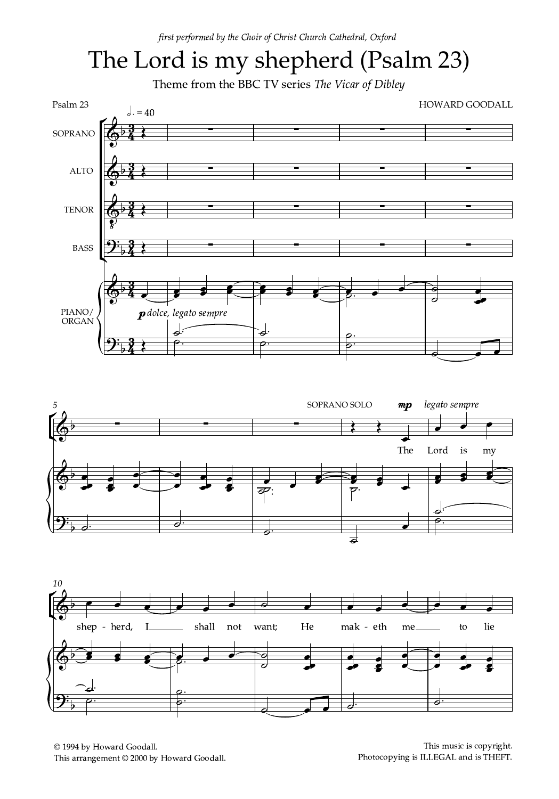## The Lord is my shepherd (Psalm 23)

Theme from the BBC TV series The Vicar of Dibley







© 1994 by Howard Goodall. This arrangement © 2000 by Howard Goodall.

This music is copyright. Photocopying is ILLEGAL and is THEFT.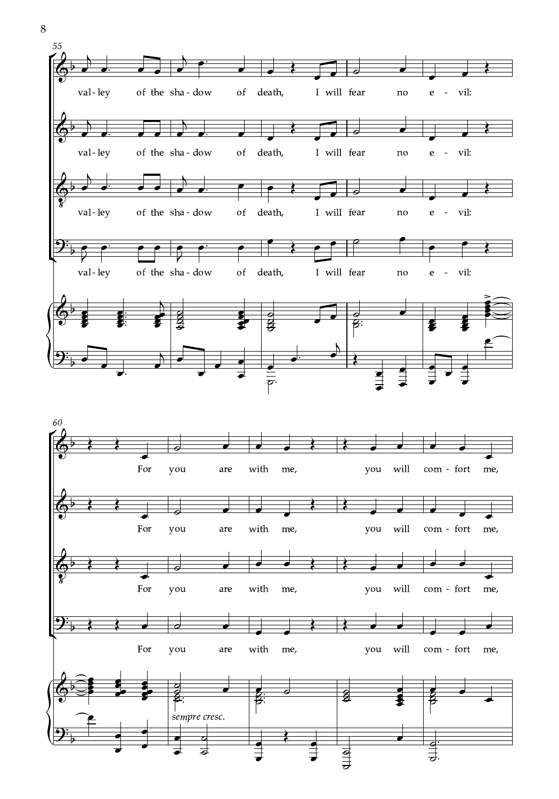

 $\,8\,$